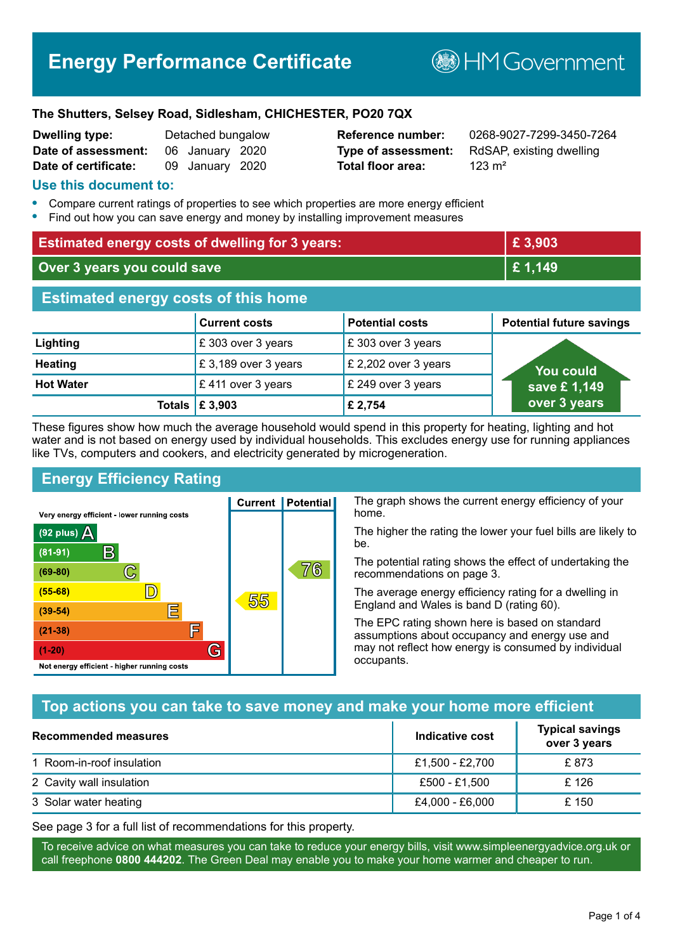# **Energy Performance Certificate**

**B**HM Government

#### **The Shutters, Selsey Road, Sidlesham, CHICHESTER, PO20 7QX**

| <b>Dwelling type:</b> | Detached bungalow |  |
|-----------------------|-------------------|--|
| Date of assessment:   | 06 January 2020   |  |
| Date of certificate:  | 09 January 2020   |  |

# **Total floor area:** 123 m<sup>2</sup>

**Reference number:** 0268-9027-7299-3450-7264 **Type of assessment:** RdSAP, existing dwelling

#### **Use this document to:**

- **•** Compare current ratings of properties to see which properties are more energy efficient
- **•** Find out how you can save energy and money by installing improvement measures

| <b>Estimated energy costs of dwelling for 3 years:</b> |                           |                        | £3,903                          |
|--------------------------------------------------------|---------------------------|------------------------|---------------------------------|
| Over 3 years you could save                            |                           | £1,149                 |                                 |
| <b>Estimated energy costs of this home</b>             |                           |                        |                                 |
|                                                        | <b>Current costs</b>      | <b>Potential costs</b> | <b>Potential future savings</b> |
| Lighting                                               | £303 over 3 years         | £303 over 3 years      |                                 |
| <b>Heating</b>                                         | £3,189 over 3 years       | £ 2,202 over 3 years   | <b>You could</b>                |
| <b>Hot Water</b>                                       | £411 over 3 years         | £ 249 over 3 years     | save £1,149                     |
|                                                        | Totals $\mathsf{E}$ 3,903 | £ 2,754                | over 3 years                    |

These figures show how much the average household would spend in this property for heating, lighting and hot water and is not based on energy used by individual households. This excludes energy use for running appliances like TVs, computers and cookers, and electricity generated by microgeneration.

**Current | Potential** 

55

# **Energy Efficiency Rating**

 $\mathbb{C}$ 

 $\mathbb{D}$ 

E

庐

G

Very energy efficient - lower running costs

R

Not energy efficient - higher running costs

 $(92$  plus)

 $(81 - 91)$ 

 $(69 - 80)$ 

 $(55-68)$ 

 $(39 - 54)$ 

 $(21-38)$ 

 $(1-20)$ 

- 78

The graph shows the current energy efficiency of your home.

The higher the rating the lower your fuel bills are likely to be.

The potential rating shows the effect of undertaking the recommendations on page 3.

The average energy efficiency rating for a dwelling in England and Wales is band D (rating 60).

The EPC rating shown here is based on standard assumptions about occupancy and energy use and may not reflect how energy is consumed by individual occupants.

# **Top actions you can take to save money and make your home more efficient**

76

| <b>Recommended measures</b> | Indicative cost | <b>Typical savings</b><br>over 3 years |
|-----------------------------|-----------------|----------------------------------------|
| 1 Room-in-roof insulation   | £1,500 - £2,700 | £873                                   |
| 2 Cavity wall insulation    | £500 - £1,500   | £ 126                                  |
| 3 Solar water heating       | £4,000 - £6,000 | £ 150                                  |

See page 3 for a full list of recommendations for this property.

To receive advice on what measures you can take to reduce your energy bills, visit www.simpleenergyadvice.org.uk or call freephone **0800 444202**. The Green Deal may enable you to make your home warmer and cheaper to run.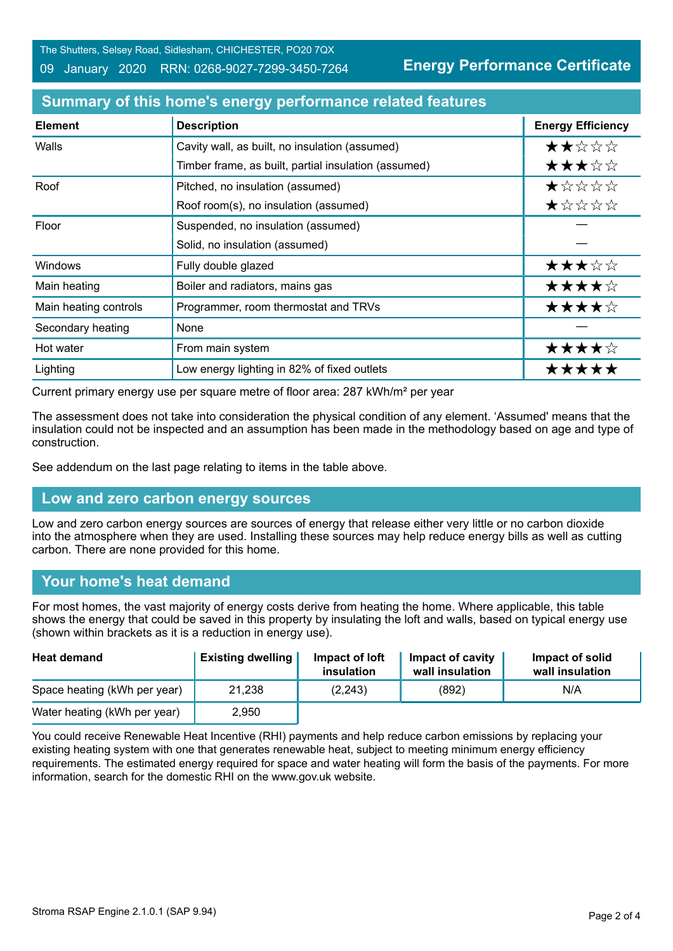The Shutters, Selsey Road, Sidlesham, CHICHESTER, PO20 7QX

#### 09 January 2020 RRN: 0268-9027-7299-3450-7264

**Energy Performance Certificate**

| <b>Element</b>        | <b>Description</b>                                   | <b>Energy Efficiency</b> |
|-----------------------|------------------------------------------------------|--------------------------|
| Walls                 | Cavity wall, as built, no insulation (assumed)       | ★★☆☆☆                    |
|                       | Timber frame, as built, partial insulation (assumed) | ★★★☆☆                    |
| Roof                  | Pitched, no insulation (assumed)                     | ★☆☆☆☆                    |
|                       | Roof room(s), no insulation (assumed)                | ★☆☆☆☆                    |
| Floor                 | Suspended, no insulation (assumed)                   |                          |
|                       | Solid, no insulation (assumed)                       |                          |
| <b>Windows</b>        | Fully double glazed                                  | ★★★☆☆                    |
| Main heating          | Boiler and radiators, mains gas                      | ★★★★☆                    |
| Main heating controls | Programmer, room thermostat and TRVs                 | ★★★★☆                    |
| Secondary heating     | None                                                 |                          |
| Hot water             | From main system                                     | ★★★★☆                    |
| Lighting              | Low energy lighting in 82% of fixed outlets          | *****                    |

#### **Summary of this home's energy performance related features**

Current primary energy use per square metre of floor area: 287 kWh/m² per year

The assessment does not take into consideration the physical condition of any element. 'Assumed' means that the insulation could not be inspected and an assumption has been made in the methodology based on age and type of construction.

See addendum on the last page relating to items in the table above.

# **Low and zero carbon energy sources**

Low and zero carbon energy sources are sources of energy that release either very little or no carbon dioxide into the atmosphere when they are used. Installing these sources may help reduce energy bills as well as cutting carbon. There are none provided for this home.

# **Your home's heat demand**

For most homes, the vast majority of energy costs derive from heating the home. Where applicable, this table shows the energy that could be saved in this property by insulating the loft and walls, based on typical energy use (shown within brackets as it is a reduction in energy use).

| <b>Heat demand</b>           | <b>Existing dwelling</b> | Impact of loft<br>insulation | Impact of cavity<br>wall insulation | Impact of solid<br>wall insulation |
|------------------------------|--------------------------|------------------------------|-------------------------------------|------------------------------------|
| Space heating (kWh per year) | 21,238                   | (2, 243)                     | (892)                               | N/A                                |
| Water heating (kWh per year) | 2,950                    |                              |                                     |                                    |

You could receive Renewable Heat Incentive (RHI) payments and help reduce carbon emissions by replacing your existing heating system with one that generates renewable heat, subject to meeting minimum energy efficiency requirements. The estimated energy required for space and water heating will form the basis of the payments. For more information, search for the domestic RHI on the www.gov.uk website.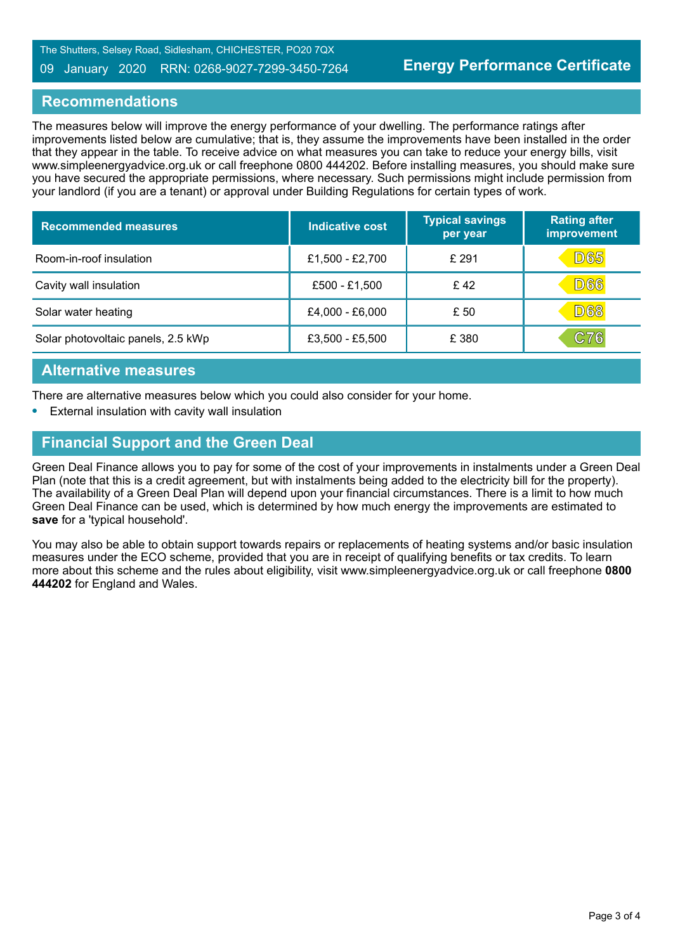#### 09 January 2020 RRN: 0268-9027-7299-3450-7264

#### **Recommendations**

The measures below will improve the energy performance of your dwelling. The performance ratings after improvements listed below are cumulative; that is, they assume the improvements have been installed in the order that they appear in the table. To receive advice on what measures you can take to reduce your energy bills, visit www.simpleenergyadvice.org.uk or call freephone 0800 444202. Before installing measures, you should make sure you have secured the appropriate permissions, where necessary. Such permissions might include permission from your landlord (if you are a tenant) or approval under Building Regulations for certain types of work.

| <b>Recommended measures</b>        | <b>Indicative cost</b> | <b>Typical savings</b><br>per year | <b>Rating after</b><br>improvement |
|------------------------------------|------------------------|------------------------------------|------------------------------------|
| Room-in-roof insulation            | £1,500 - £2,700        | £ 291                              | <b>D65</b>                         |
| Cavity wall insulation             | £500 - £1,500          | £42                                | <b>D66</b>                         |
| Solar water heating                | £4,000 - £6,000        | £ 50                               | <b>D68</b>                         |
| Solar photovoltaic panels, 2.5 kWp | £3,500 - £5,500        | £ 380                              | C76                                |

#### **Alternative measures**

There are alternative measures below which you could also consider for your home.

**•** External insulation with cavity wall insulation

# **Financial Support and the Green Deal**

Green Deal Finance allows you to pay for some of the cost of your improvements in instalments under a Green Deal Plan (note that this is a credit agreement, but with instalments being added to the electricity bill for the property). The availability of a Green Deal Plan will depend upon your financial circumstances. There is a limit to how much Green Deal Finance can be used, which is determined by how much energy the improvements are estimated to **save** for a 'typical household'.

You may also be able to obtain support towards repairs or replacements of heating systems and/or basic insulation measures under the ECO scheme, provided that you are in receipt of qualifying benefits or tax credits. To learn more about this scheme and the rules about eligibility, visit www.simpleenergyadvice.org.uk or call freephone **0800 444202** for England and Wales.